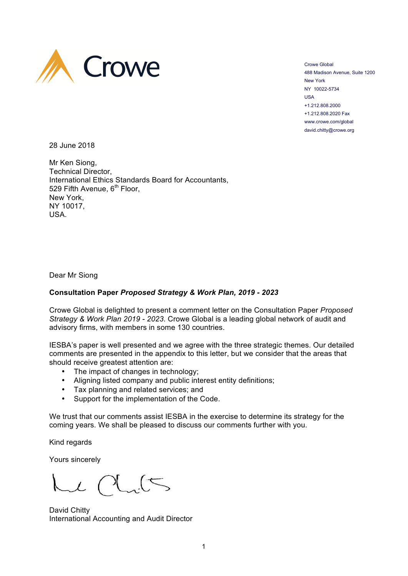

Crowe Global 488 Madison Avenue, Suite 1200 New York NY 10022-5734 USA +1.212.808.2000 +1.212.808.2020 Fax www.crowe.com/global david.chitty@crowe.org

28 June 2018

Mr Ken Siong, Technical Director, International Ethics Standards Board for Accountants,  $529$  Fifth Avenue,  $6<sup>th</sup>$  Floor, New York, NY 10017, USA.

Dear Mr Siong

## **Consultation Paper** *Proposed Strategy & Work Plan, 2019 - 2023*

Crowe Global is delighted to present a comment letter on the Consultation Paper *Proposed Strategy & Work Plan 2019 - 2023*. Crowe Global is a leading global network of audit and advisory firms, with members in some 130 countries.

IESBA's paper is well presented and we agree with the three strategic themes. Our detailed comments are presented in the appendix to this letter, but we consider that the areas that should receive greatest attention are:

- The impact of changes in technology;
- Aligning listed company and public interest entity definitions;
- Tax planning and related services; and
- Support for the implementation of the Code.

We trust that our comments assist IESBA in the exercise to determine its strategy for the coming years. We shall be pleased to discuss our comments further with you.

Kind regards

Yours sincerely

 $\sim$ l

David Chitty International Accounting and Audit Director